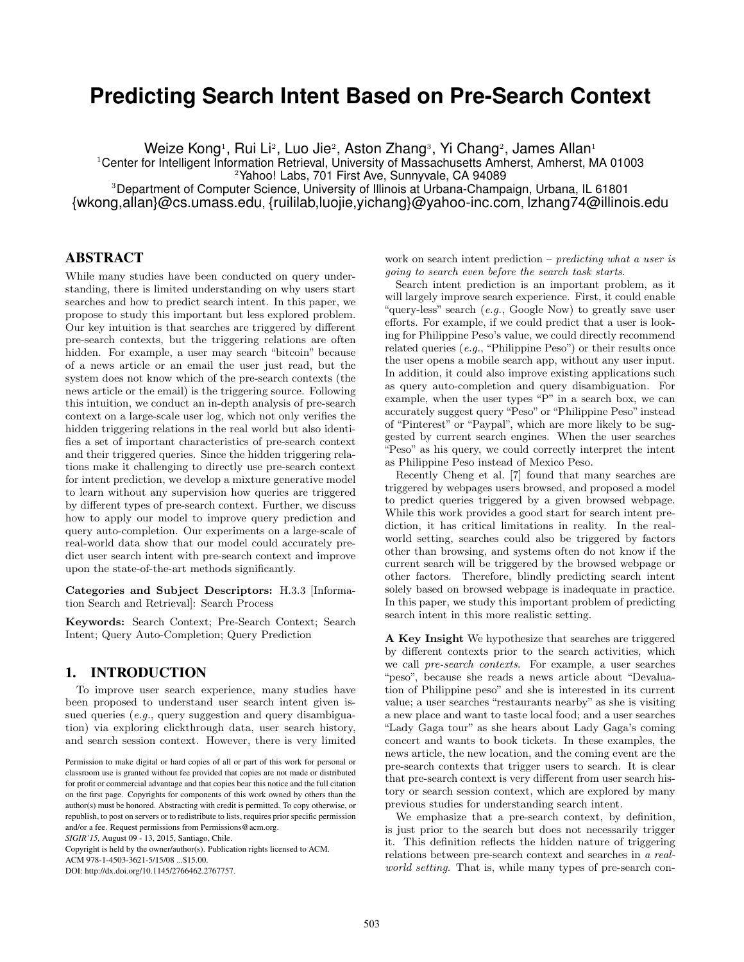# **Predicting Search Intent Based on Pre-Search Context**

Weize Kong1, Rui Li $^{\rm 2}$ , Luo Jie $^{\rm 2}$ , Aston Zhang3, Yi Chang $^{\rm 2}$ , James Allan $^{\rm 1}$ 

<sup>1</sup>Center for Intelligent Information Retrieval, University of Massachusetts Amherst, Amherst, MA 01003

<sup>2</sup>Yahoo! Labs, 701 First Ave, Sunnyvale, CA 94089

<sup>3</sup>Department of Computer Science, University of Illinois at Urbana-Champaign, Urbana, IL 61801 {wkong,allan}@cs.umass.edu, {ruililab,luojie,yichang}@yahoo-inc.com, lzhang74@illinois.edu

## ABSTRACT

While many studies have been conducted on query understanding, there is limited understanding on why users start searches and how to predict search intent. In this paper, we propose to study this important but less explored problem. Our key intuition is that searches are triggered by different pre-search contexts, but the triggering relations are often hidden. For example, a user may search "bitcoin" because of a news article or an email the user just read, but the system does not know which of the pre-search contexts (the news article or the email) is the triggering source. Following this intuition, we conduct an in-depth analysis of pre-search context on a large-scale user log, which not only verifies the hidden triggering relations in the real world but also identifies a set of important characteristics of pre-search context and their triggered queries. Since the hidden triggering relations make it challenging to directly use pre-search context for intent prediction, we develop a mixture generative model to learn without any supervision how queries are triggered by different types of pre-search context. Further, we discuss how to apply our model to improve query prediction and query auto-completion. Our experiments on a large-scale of real-world data show that our model could accurately predict user search intent with pre-search context and improve upon the state-of-the-art methods significantly.

**Categories and Subject Descriptors:** H.3.3 [Information Search and Retrieval]: Search Process

**Keywords:** Search Context; Pre-Search Context; Search Intent; Query Auto-Completion; Query Prediction

## 1. INTRODUCTION

To improve user search experience, many studies have been proposed to understand user search intent given issued queries (*e.g.*, query suggestion and query disambiguation) via exploring clickthrough data, user search history, and search session context. However, there is very limited

*SIGIR'15,* August 09 - 13, 2015, Santiago, Chile.

Copyright is held by the owner/author(s). Publication rights licensed to ACM.

ACM 978-1-4503-3621-5/15/08 ...\$15.00.

DOI: http://dx.doi.org/10.1145/2766462.2767757.

work on search intent prediction – *predicting what a user is going to search even before the search task starts*.

Search intent prediction is an important problem, as it will largely improve search experience. First, it could enable "query-less" search (*e.g.*, Google Now) to greatly save user efforts. For example, if we could predict that a user is looking for Philippine Peso's value, we could directly recommend related queries (*e.g.*, "Philippine Peso") or their results once the user opens a mobile search app, without any user input. In addition, it could also improve existing applications such as query auto-completion and query disambiguation. For example, when the user types "P" in a search box, we can accurately suggest query "Peso" or "Philippine Peso" instead of "Pinterest" or "Paypal", which are more likely to be suggested by current search engines. When the user searches "Peso" as his query, we could correctly interpret the intent as Philippine Peso instead of Mexico Peso.

Recently Cheng et al. [7] found that many searches are triggered by webpages users browsed, and proposed a model to predict queries triggered by a given browsed webpage. While this work provides a good start for search intent prediction, it has critical limitations in reality. In the realworld setting, searches could also be triggered by factors other than browsing, and systems often do not know if the current search will be triggered by the browsed webpage or other factors. Therefore, blindly predicting search intent solely based on browsed webpage is inadequate in practice. In this paper, we study this important problem of predicting search intent in this more realistic setting.

**A Key Insight** We hypothesize that searches are triggered by different contexts prior to the search activities, which we call *pre-search contexts*. For example, a user searches "peso", because she reads a news article about "Devaluation of Philippine peso" and she is interested in its current value; a user searches "restaurants nearby" as she is visiting a new place and want to taste local food; and a user searches "Lady Gaga tour" as she hears about Lady Gaga's coming concert and wants to book tickets. In these examples, the news article, the new location, and the coming event are the pre-search contexts that trigger users to search. It is clear that pre-search context is very different from user search history or search session context, which are explored by many previous studies for understanding search intent.

We emphasize that a pre-search context, by definition, is just prior to the search but does not necessarily trigger it. This definition reflects the hidden nature of triggering relations between pre-search context and searches in *a realworld setting*. That is, while many types of pre-search con-

Permission to make digital or hard copies of all or part of this work for personal or classroom use is granted without fee provided that copies are not made or distributed for profit or commercial advantage and that copies bear this notice and the full citation on the first page. Copyrights for components of this work owned by others than the author(s) must be honored. Abstracting with credit is permitted. To copy otherwise, or republish, to post on servers or to redistribute to lists, requires prior specific permission and/or a fee. Request permissions from Permissions@acm.org.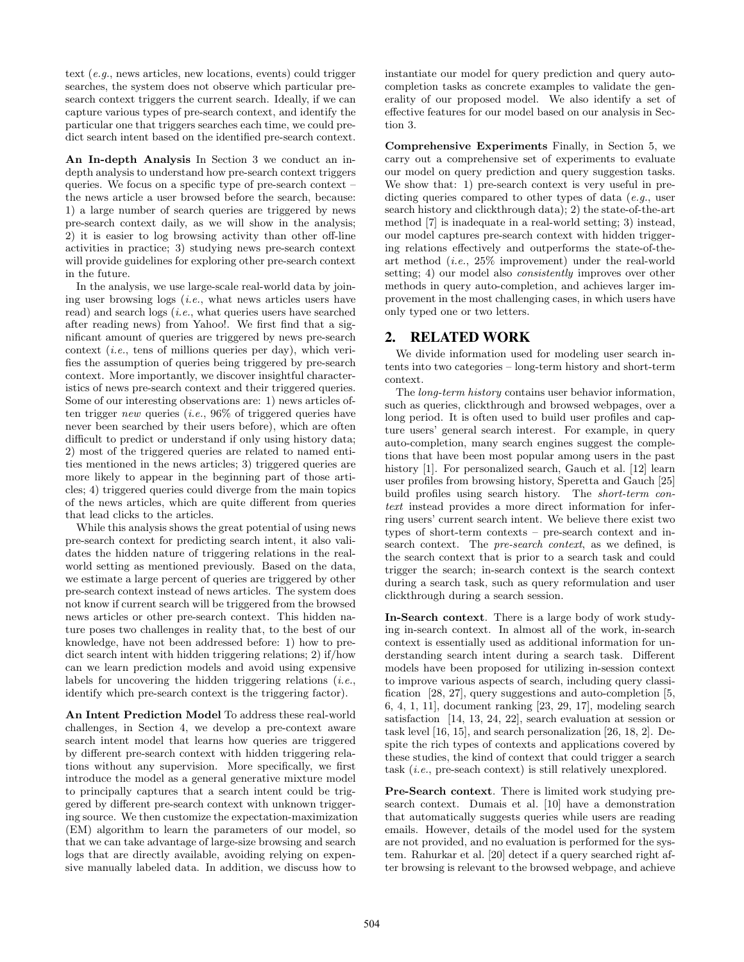text (*e.g.*, news articles, new locations, events) could trigger searches, the system does not observe which particular presearch context triggers the current search. Ideally, if we can capture various types of pre-search context, and identify the particular one that triggers searches each time, we could predict search intent based on the identified pre-search context.

**An In-depth Analysis** In Section 3 we conduct an indepth analysis to understand how pre-search context triggers queries. We focus on a specific type of pre-search context – the news article a user browsed before the search, because: 1) a large number of search queries are triggered by news pre-search context daily, as we will show in the analysis; 2) it is easier to log browsing activity than other off-line activities in practice; 3) studying news pre-search context will provide guidelines for exploring other pre-search context in the future.

In the analysis, we use large-scale real-world data by joining user browsing logs (*i.e.*, what news articles users have read) and search logs (*i.e.*, what queries users have searched after reading news) from Yahoo!. We first find that a significant amount of queries are triggered by news pre-search context (*i.e.*, tens of millions queries per day), which verifies the assumption of queries being triggered by pre-search context. More importantly, we discover insightful characteristics of news pre-search context and their triggered queries. Some of our interesting observations are: 1) news articles often trigger *new* queries (*i.e.*, 96% of triggered queries have never been searched by their users before), which are often difficult to predict or understand if only using history data; 2) most of the triggered queries are related to named entities mentioned in the news articles; 3) triggered queries are more likely to appear in the beginning part of those articles; 4) triggered queries could diverge from the main topics of the news articles, which are quite different from queries that lead clicks to the articles.

While this analysis shows the great potential of using news pre-search context for predicting search intent, it also validates the hidden nature of triggering relations in the realworld setting as mentioned previously. Based on the data, we estimate a large percent of queries are triggered by other pre-search context instead of news articles. The system does not know if current search will be triggered from the browsed news articles or other pre-search context. This hidden nature poses two challenges in reality that, to the best of our knowledge, have not been addressed before: 1) how to predict search intent with hidden triggering relations; 2) if/how can we learn prediction models and avoid using expensive labels for uncovering the hidden triggering relations (*i.e.*, identify which pre-search context is the triggering factor).

**An Intent Prediction Model** To address these real-world challenges, in Section 4, we develop a pre-context aware search intent model that learns how queries are triggered by different pre-search context with hidden triggering relations without any supervision. More specifically, we first introduce the model as a general generative mixture model to principally captures that a search intent could be triggered by different pre-search context with unknown triggering source. We then customize the expectation-maximization (EM) algorithm to learn the parameters of our model, so that we can take advantage of large-size browsing and search logs that are directly available, avoiding relying on expensive manually labeled data. In addition, we discuss how to

instantiate our model for query prediction and query autocompletion tasks as concrete examples to validate the generality of our proposed model. We also identify a set of effective features for our model based on our analysis in Section 3.

**Comprehensive Experiments** Finally, in Section 5, we carry out a comprehensive set of experiments to evaluate our model on query prediction and query suggestion tasks. We show that: 1) pre-search context is very useful in predicting queries compared to other types of data (*e.g.*, user search history and clickthrough data); 2) the state-of-the-art method [7] is inadequate in a real-world setting; 3) instead, our model captures pre-search context with hidden triggering relations effectively and outperforms the state-of-theart method (*i.e.*, 25% improvement) under the real-world setting; 4) our model also *consistently* improves over other methods in query auto-completion, and achieves larger improvement in the most challenging cases, in which users have only typed one or two letters.

## 2. RELATED WORK

We divide information used for modeling user search intents into two categories – long-term history and short-term context.

The *long-term history* contains user behavior information, such as queries, clickthrough and browsed webpages, over a long period. It is often used to build user profiles and capture users' general search interest. For example, in query auto-completion, many search engines suggest the completions that have been most popular among users in the past history [1]. For personalized search, Gauch et al. [12] learn user profiles from browsing history, Speretta and Gauch [25] build profiles using search history. The *short-term context* instead provides a more direct information for inferring users' current search intent. We believe there exist two types of short-term contexts – pre-search context and insearch context. The *pre-search context*, as we defined, is the search context that is prior to a search task and could trigger the search; in-search context is the search context during a search task, such as query reformulation and user clickthrough during a search session.

**In-Search context**. There is a large body of work studying in-search context. In almost all of the work, in-search context is essentially used as additional information for understanding search intent during a search task. Different models have been proposed for utilizing in-session context to improve various aspects of search, including query classification [28, 27], query suggestions and auto-completion [5, 6, 4, 1, 11], document ranking [23, 29, 17], modeling search satisfaction [14, 13, 24, 22], search evaluation at session or task level [16, 15], and search personalization [26, 18, 2]. Despite the rich types of contexts and applications covered by these studies, the kind of context that could trigger a search task (*i.e.*, pre-seach context) is still relatively unexplored.

**Pre-Search context**. There is limited work studying presearch context. Dumais et al. [10] have a demonstration that automatically suggests queries while users are reading emails. However, details of the model used for the system are not provided, and no evaluation is performed for the system. Rahurkar et al. [20] detect if a query searched right after browsing is relevant to the browsed webpage, and achieve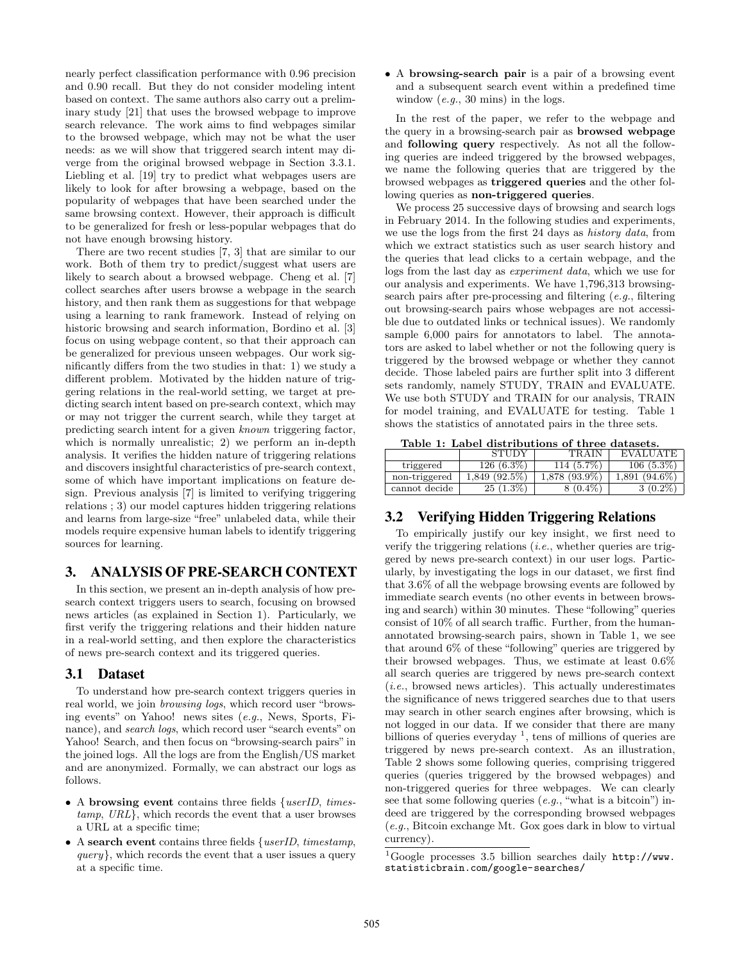nearly perfect classification performance with 0.96 precision and 0.90 recall. But they do not consider modeling intent based on context. The same authors also carry out a preliminary study [21] that uses the browsed webpage to improve search relevance. The work aims to find webpages similar to the browsed webpage, which may not be what the user needs: as we will show that triggered search intent may diverge from the original browsed webpage in Section 3.3.1. Liebling et al. [19] try to predict what webpages users are likely to look for after browsing a webpage, based on the popularity of webpages that have been searched under the same browsing context. However, their approach is difficult to be generalized for fresh or less-popular webpages that do not have enough browsing history.

There are two recent studies [7, 3] that are similar to our work. Both of them try to predict/suggest what users are likely to search about a browsed webpage. Cheng et al. [7] collect searches after users browse a webpage in the search history, and then rank them as suggestions for that webpage using a learning to rank framework. Instead of relying on historic browsing and search information, Bordino et al. [3] focus on using webpage content, so that their approach can be generalized for previous unseen webpages. Our work significantly differs from the two studies in that: 1) we study a different problem. Motivated by the hidden nature of triggering relations in the real-world setting, we target at predicting search intent based on pre-search context, which may or may not trigger the current search, while they target at predicting search intent for a given *known* triggering factor, which is normally unrealistic; 2) we perform an in-depth analysis. It verifies the hidden nature of triggering relations and discovers insightful characteristics of pre-search context, some of which have important implications on feature design. Previous analysis [7] is limited to verifying triggering relations ; 3) our model captures hidden triggering relations and learns from large-size "free" unlabeled data, while their models require expensive human labels to identify triggering sources for learning.

## 3. ANALYSIS OF PRE-SEARCH CONTEXT

In this section, we present an in-depth analysis of how presearch context triggers users to search, focusing on browsed news articles (as explained in Section 1). Particularly, we first verify the triggering relations and their hidden nature in a real-world setting, and then explore the characteristics of news pre-search context and its triggered queries.

## 3.1 Dataset

To understand how pre-search context triggers queries in real world, we join *browsing logs*, which record user "browsing events" on Yahoo! news sites (*e.g.*, News, Sports, Finance), and *search logs*, which record user "search events" on Yahoo! Search, and then focus on "browsing-search pairs" in the joined logs. All the logs are from the English/US market and are anonymized. Formally, we can abstract our logs as follows.

- *•* A **browsing event** contains three fields *{userID*, *timestamp*, *URL}*, which records the event that a user browses a URL at a specific time;
- *•* A **search event** contains three fields *{userID*, *timestamp*, *query}*, which records the event that a user issues a query at a specific time.

*•* A **browsing-search pair** is a pair of a browsing event and a subsequent search event within a predefined time window (*e.g.*, 30 mins) in the logs.

In the rest of the paper, we refer to the webpage and the query in a browsing-search pair as **browsed webpage** and **following query** respectively. As not all the following queries are indeed triggered by the browsed webpages, we name the following queries that are triggered by the browsed webpages as **triggered queries** and the other following queries as **non-triggered queries**.

We process 25 successive days of browsing and search logs in February 2014. In the following studies and experiments, we use the logs from the first 24 days as *history data*, from which we extract statistics such as user search history and the queries that lead clicks to a certain webpage, and the logs from the last day as *experiment data*, which we use for our analysis and experiments. We have 1,796,313 browsingsearch pairs after pre-processing and filtering (*e.g.*, filtering out browsing-search pairs whose webpages are not accessible due to outdated links or technical issues). We randomly sample 6,000 pairs for annotators to label. The annotators are asked to label whether or not the following query is triggered by the browsed webpage or whether they cannot decide. Those labeled pairs are further split into 3 different sets randomly, namely STUDY, TRAIN and EVALUATE. We use both STUDY and TRAIN for our analysis, TRAIN for model training, and EVALUATE for testing. Table 1 shows the statistics of annotated pairs in the three sets.

|  |                                 |  | Table 1: Label distributions of three datasets. |
|--|---------------------------------|--|-------------------------------------------------|
|  | $C$ $T$ $T$ $T$ $T$ $T$ $T$ $T$ |  | CONTACT I DITATTAR                              |

|               | <b>STUDY</b>    | <b>TRAIN</b>    | <b>EVALUATE</b> |
|---------------|-----------------|-----------------|-----------------|
| triggered     | $126(6.3\%)$    | 114 (5.7%)      | $106(5.3\%)$    |
| non-triggered | $1.849(92.5\%)$ | $1,878$ (93.9%) | $1.891(94.6\%)$ |
| cannot decide | $25(1.3\%)$     | $8(0.4\%)$      | $3(0.2\%)$      |

## 3.2 Verifying Hidden Triggering Relations

To empirically justify our key insight, we first need to verify the triggering relations (*i.e.*, whether queries are triggered by news pre-search context) in our user logs. Particularly, by investigating the logs in our dataset, we first find that 3.6% of all the webpage browsing events are followed by immediate search events (no other events in between browsing and search) within 30 minutes. These "following" queries consist of 10% of all search traffic. Further, from the humanannotated browsing-search pairs, shown in Table 1, we see that around 6% of these "following" queries are triggered by their browsed webpages. Thus, we estimate at least 0.6% all search queries are triggered by news pre-search context (*i.e.*, browsed news articles). This actually underestimates the significance of news triggered searches due to that users may search in other search engines after browsing, which is not logged in our data. If we consider that there are many billions of queries everyday  $<sup>1</sup>$ , tens of millions of queries are</sup> triggered by news pre-search context. As an illustration, Table 2 shows some following queries, comprising triggered queries (queries triggered by the browsed webpages) and non-triggered queries for three webpages. We can clearly see that some following queries (*e.g.*, "what is a bitcoin") indeed are triggered by the corresponding browsed webpages (*e.g.*, Bitcoin exchange Mt. Gox goes dark in blow to virtual currency).

<sup>&</sup>lt;sup>1</sup>Google processes 3.5 billion searches daily  $http://www.$ statisticbrain.com/google-searches/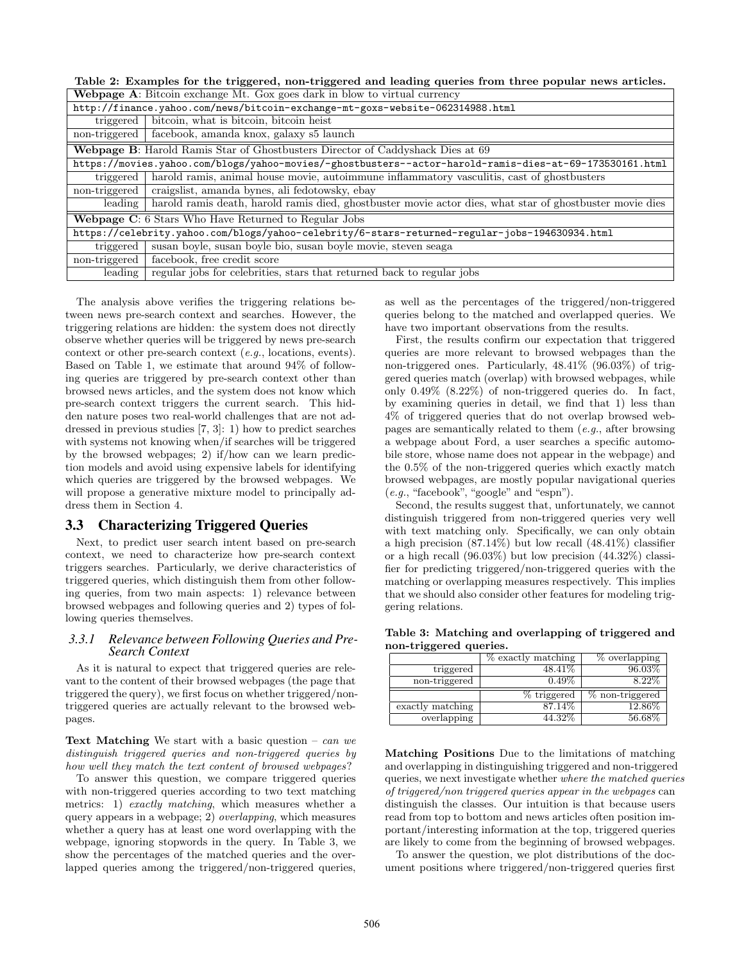**Table 2: Examples for the triggered, non-triggered and leading queries from three popular news articles.**

|               | <b>Webpage A:</b> Bitcoin exchange Mt. Gox goes dark in blow to virtual currency                         |  |  |  |  |  |
|---------------|----------------------------------------------------------------------------------------------------------|--|--|--|--|--|
|               | http://finance.yahoo.com/news/bitcoin-exchange-mt-goxs-website-062314988.html                            |  |  |  |  |  |
|               | triggered   bitcoin, what is bitcoin, bitcoin heist                                                      |  |  |  |  |  |
| non-triggered | facebook, amanda knox, galaxy s5 launch                                                                  |  |  |  |  |  |
|               | <b>Webpage B:</b> Harold Ramis Star of Ghostbusters Director of Caddyshack Dies at 69                    |  |  |  |  |  |
|               | https://movies.yahoo.com/blogs/yahoo-movies/-ghostbusters--actor-harold-ramis-dies-at-69-173530161.html  |  |  |  |  |  |
| triggered     | harold ramis, animal house movie, autoimmune inflammatory vasculitis, cast of ghostbusters               |  |  |  |  |  |
| non-triggered | craigslist, amanda bynes, ali fedotowsky, ebay                                                           |  |  |  |  |  |
| leading       | harold ramis death, harold ramis died, ghostbuster movie actor dies, what star of ghostbuster movie dies |  |  |  |  |  |
|               | Webpage C: 6 Stars Who Have Returned to Regular Jobs                                                     |  |  |  |  |  |
|               | https://celebrity.yahoo.com/blogs/yahoo-celebrity/6-stars-returned-regular-jobs-194630934.html           |  |  |  |  |  |
| triggered     | susan boyle, susan boyle bio, susan boyle movie, steven seaga                                            |  |  |  |  |  |
| non-triggered | facebook, free credit score                                                                              |  |  |  |  |  |
| leading       | regular jobs for celebrities, stars that returned back to regular jobs                                   |  |  |  |  |  |

The analysis above verifies the triggering relations between news pre-search context and searches. However, the triggering relations are hidden: the system does not directly observe whether queries will be triggered by news pre-search context or other pre-search context (*e.g.*, locations, events). Based on Table 1, we estimate that around 94% of following queries are triggered by pre-search context other than browsed news articles, and the system does not know which pre-search context triggers the current search. This hidden nature poses two real-world challenges that are not addressed in previous studies [7, 3]: 1) how to predict searches with systems not knowing when/if searches will be triggered by the browsed webpages; 2) if/how can we learn prediction models and avoid using expensive labels for identifying which queries are triggered by the browsed webpages. We will propose a generative mixture model to principally address them in Section 4.

## 3.3 Characterizing Triggered Queries

Next, to predict user search intent based on pre-search context, we need to characterize how pre-search context triggers searches. Particularly, we derive characteristics of triggered queries, which distinguish them from other following queries, from two main aspects: 1) relevance between browsed webpages and following queries and 2) types of following queries themselves.

## *3.3.1 Relevance between Following Queries and Pre-Search Context*

As it is natural to expect that triggered queries are relevant to the content of their browsed webpages (the page that triggered the query), we first focus on whether triggered/nontriggered queries are actually relevant to the browsed webpages.

**Text Matching** We start with a basic question – *can we distinguish triggered queries and non-triggered queries by how well they match the text content of browsed webpages*?

To answer this question, we compare triggered queries with non-triggered queries according to two text matching metrics: 1) *exactly matching*, which measures whether a query appears in a webpage; 2) *overlapping*, which measures whether a query has at least one word overlapping with the webpage, ignoring stopwords in the query. In Table 3, we show the percentages of the matched queries and the overlapped queries among the triggered/non-triggered queries,

as well as the percentages of the triggered/non-triggered queries belong to the matched and overlapped queries. We have two important observations from the results.

First, the results confirm our expectation that triggered queries are more relevant to browsed webpages than the non-triggered ones. Particularly, 48.41% (96.03%) of triggered queries match (overlap) with browsed webpages, while only 0.49% (8.22%) of non-triggered queries do. In fact, by examining queries in detail, we find that 1) less than 4% of triggered queries that do not overlap browsed webpages are semantically related to them (*e.g.*, after browsing a webpage about Ford, a user searches a specific automobile store, whose name does not appear in the webpage) and the 0.5% of the non-triggered queries which exactly match browsed webpages, are mostly popular navigational queries (*e.g.*, "facebook", "google" and "espn").

Second, the results suggest that, unfortunately, we cannot distinguish triggered from non-triggered queries very well with text matching only. Specifically, we can only obtain a high precision (87.14%) but low recall (48.41%) classifier or a high recall (96.03%) but low precision (44.32%) classifier for predicting triggered/non-triggered queries with the matching or overlapping measures respectively. This implies that we should also consider other features for modeling triggering relations.

**Table 3: Matching and overlapping of triggered and non-triggered queries.**

|                  | $%$ exactly matching | $%$ overlapping |
|------------------|----------------------|-----------------|
| triggered        | 48.41\%              | 96.03%          |
| non-triggered    | $0.49\%$             | 8.22%           |
|                  |                      |                 |
|                  | % triggered          | % non-triggered |
| exactly matching | 87.14%               | $12.86\%$       |

**Matching Positions** Due to the limitations of matching and overlapping in distinguishing triggered and non-triggered queries, we next investigate whether *where the matched queries of triggered/non triggered queries appear in the webpages* can distinguish the classes. Our intuition is that because users read from top to bottom and news articles often position important/interesting information at the top, triggered queries are likely to come from the beginning of browsed webpages.

To answer the question, we plot distributions of the document positions where triggered/non-triggered queries first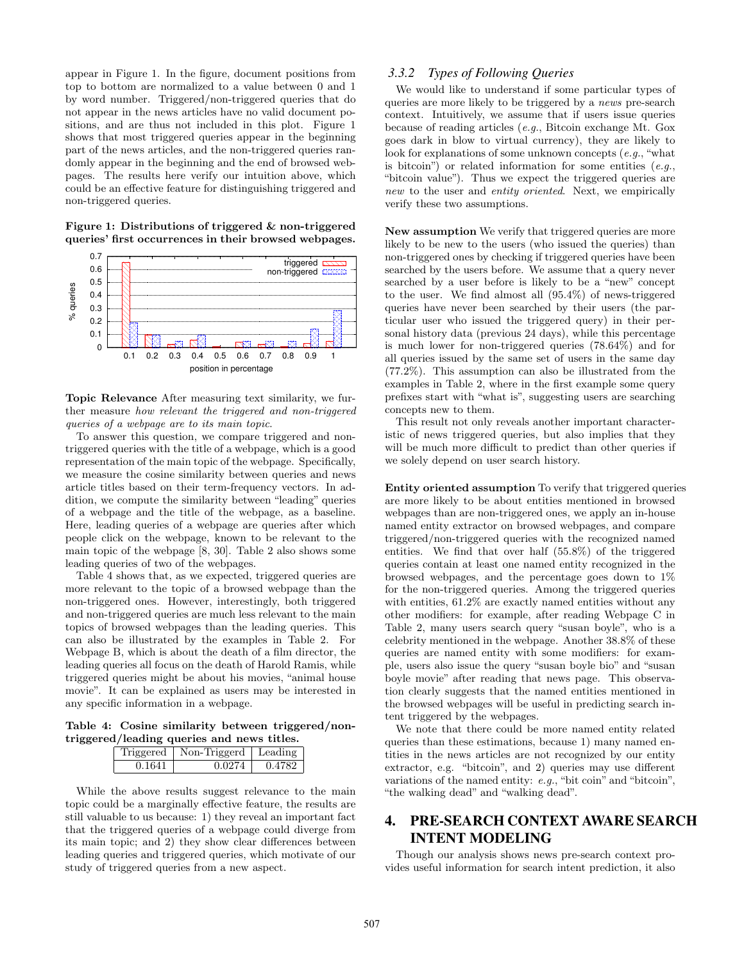appear in Figure 1. In the figure, document positions from top to bottom are normalized to a value between 0 and 1 by word number. Triggered/non-triggered queries that do not appear in the news articles have no valid document positions, and are thus not included in this plot. Figure 1 shows that most triggered queries appear in the beginning part of the news articles, and the non-triggered queries randomly appear in the beginning and the end of browsed webpages. The results here verify our intuition above, which could be an effective feature for distinguishing triggered and non-triggered queries.

**Figure 1: Distributions of triggered & non-triggered queries' first occurrences in their browsed webpages.**



**Topic Relevance** After measuring text similarity, we further measure *how relevant the triggered and non-triggered queries of a webpage are to its main topic*.

To answer this question, we compare triggered and nontriggered queries with the title of a webpage, which is a good representation of the main topic of the webpage. Specifically, we measure the cosine similarity between queries and news article titles based on their term-frequency vectors. In addition, we compute the similarity between "leading" queries of a webpage and the title of the webpage, as a baseline. Here, leading queries of a webpage are queries after which people click on the webpage, known to be relevant to the main topic of the webpage [8, 30]. Table 2 also shows some leading queries of two of the webpages.

Table 4 shows that, as we expected, triggered queries are more relevant to the topic of a browsed webpage than the non-triggered ones. However, interestingly, both triggered and non-triggered queries are much less relevant to the main topics of browsed webpages than the leading queries. This can also be illustrated by the examples in Table 2. For Webpage B, which is about the death of a film director, the leading queries all focus on the death of Harold Ramis, while triggered queries might be about his movies, "animal house movie". It can be explained as users may be interested in any specific information in a webpage.

**Table 4: Cosine similarity between triggered/nontriggered/leading queries and news titles.**

|        | riggered   Non-Triggerd | Leading |
|--------|-------------------------|---------|
| 0.1641 | በ በ974                  | 'I 47.  |

While the above results suggest relevance to the main topic could be a marginally effective feature, the results are still valuable to us because: 1) they reveal an important fact that the triggered queries of a webpage could diverge from its main topic; and 2) they show clear differences between leading queries and triggered queries, which motivate of our study of triggered queries from a new aspect.

#### *3.3.2 Types of Following Queries*

We would like to understand if some particular types of queries are more likely to be triggered by a *news* pre-search context. Intuitively, we assume that if users issue queries because of reading articles (*e.g.*, Bitcoin exchange Mt. Gox goes dark in blow to virtual currency), they are likely to look for explanations of some unknown concepts (*e.g.*, "what is bitcoin") or related information for some entities (*e.g.*, "bitcoin value"). Thus we expect the triggered queries are *new* to the user and *entity oriented*. Next, we empirically verify these two assumptions.

**New assumption** We verify that triggered queries are more likely to be new to the users (who issued the queries) than non-triggered ones by checking if triggered queries have been searched by the users before. We assume that a query never searched by a user before is likely to be a "new" concept to the user. We find almost all (95.4%) of news-triggered queries have never been searched by their users (the particular user who issued the triggered query) in their personal history data (previous 24 days), while this percentage is much lower for non-triggered queries (78.64%) and for all queries issued by the same set of users in the same day (77.2%). This assumption can also be illustrated from the examples in Table 2, where in the first example some query prefixes start with "what is", suggesting users are searching concepts new to them.

This result not only reveals another important characteristic of news triggered queries, but also implies that they will be much more difficult to predict than other queries if we solely depend on user search history.

**Entity oriented assumption** To verify that triggered queries are more likely to be about entities mentioned in browsed webpages than are non-triggered ones, we apply an in-house named entity extractor on browsed webpages, and compare triggered/non-triggered queries with the recognized named entities. We find that over half (55.8%) of the triggered queries contain at least one named entity recognized in the browsed webpages, and the percentage goes down to 1% for the non-triggered queries. Among the triggered queries with entities,  $61.2\%$  are exactly named entities without any other modifiers: for example, after reading Webpage C in Table 2, many users search query "susan boyle", who is a celebrity mentioned in the webpage. Another 38.8% of these queries are named entity with some modifiers: for example, users also issue the query "susan boyle bio" and "susan boyle movie" after reading that news page. This observation clearly suggests that the named entities mentioned in the browsed webpages will be useful in predicting search intent triggered by the webpages.

We note that there could be more named entity related queries than these estimations, because 1) many named entities in the news articles are not recognized by our entity extractor, e.g. "bitcoin", and 2) queries may use different variations of the named entity: *e.g.*, "bit coin" and "bitcoin", "the walking dead" and "walking dead".

# 4. PRE-SEARCH CONTEXT AWARE SEARCH INTENT MODELING

Though our analysis shows news pre-search context provides useful information for search intent prediction, it also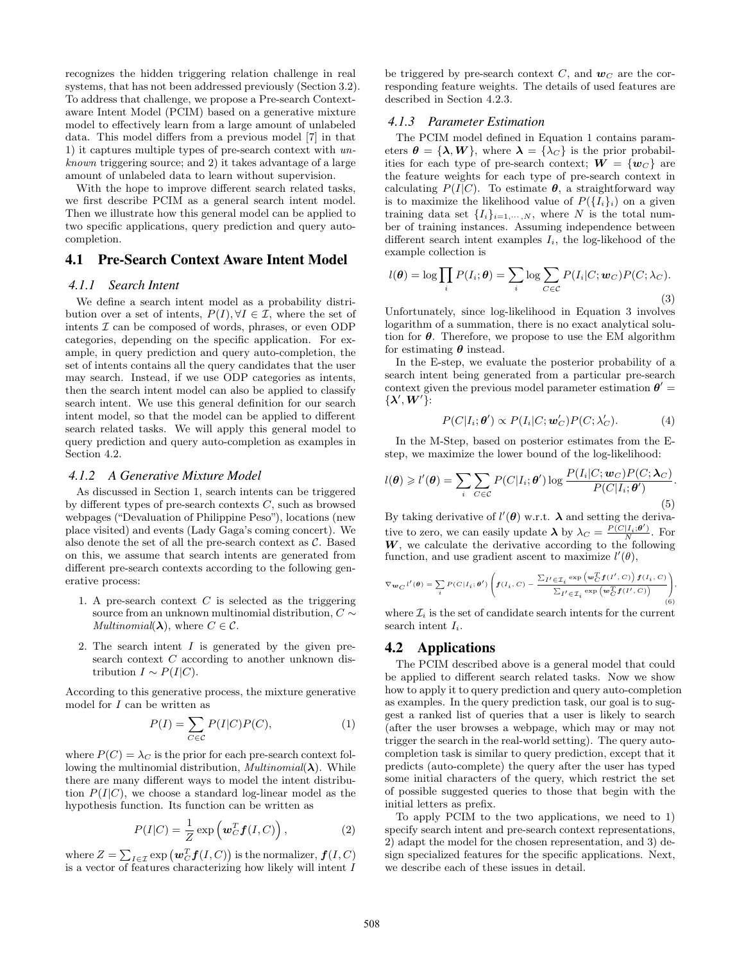recognizes the hidden triggering relation challenge in real systems, that has not been addressed previously (Section 3.2). To address that challenge, we propose a Pre-search Contextaware Intent Model (PCIM) based on a generative mixture model to effectively learn from a large amount of unlabeled data. This model differs from a previous model [7] in that 1) it captures multiple types of pre-search context with *unknown* triggering source; and 2) it takes advantage of a large amount of unlabeled data to learn without supervision.

With the hope to improve different search related tasks, we first describe PCIM as a general search intent model. Then we illustrate how this general model can be applied to two specific applications, query prediction and query autocompletion.

## 4.1 Pre-Search Context Aware Intent Model

#### *4.1.1 Search Intent*

We define a search intent model as a probability distribution over a set of intents,  $P(I), \forall I \in \mathcal{I}$ , where the set of intents *I* can be composed of words, phrases, or even ODP categories, depending on the specific application. For example, in query prediction and query auto-completion, the set of intents contains all the query candidates that the user may search. Instead, if we use ODP categories as intents, then the search intent model can also be applied to classify search intent. We use this general definition for our search intent model, so that the model can be applied to different search related tasks. We will apply this general model to query prediction and query auto-completion as examples in Section 4.2.

#### *4.1.2 A Generative Mixture Model*

As discussed in Section 1, search intents can be triggered by different types of pre-search contexts *C*, such as browsed webpages ("Devaluation of Philippine Peso"), locations (new place visited) and events (Lady Gaga's coming concert). We also denote the set of all the pre-search context as *C*. Based on this, we assume that search intents are generated from different pre-search contexts according to the following generative process:

- 1. A pre-search context *C* is selected as the triggering source from an unknown multinomial distribution, *C ∼ Multinomial*( $\lambda$ ), where  $C \in \mathcal{C}$ .
- 2. The search intent *I* is generated by the given presearch context *C* according to another unknown distribution  $I \sim P(I|C)$ .

According to this generative process, the mixture generative model for *I* can be written as

$$
P(I) = \sum_{C \in \mathcal{C}} P(I|C)P(C),\tag{1}
$$

where  $P(C) = \lambda_C$  is the prior for each pre-search context following the multinomial distribution, *Multinomial*(*λ*). While there are many different ways to model the intent distribution  $P(I|C)$ , we choose a standard log-linear model as the hypothesis function. Its function can be written as

$$
P(I|C) = \frac{1}{Z} \exp\left(\mathbf{w}_C^T \mathbf{f}(I,C)\right),\tag{2}
$$

where  $Z = \sum_{I \in \mathcal{I}} \exp(\boldsymbol{w}_C^T \boldsymbol{f}(I, C))$  is the normalizer,  $\boldsymbol{f}(I, C)$ is a vector of features characterizing how likely will intent *I*

be triggered by pre-search context *C*, and  $w_C$  are the corresponding feature weights. The details of used features are described in Section 4.2.3.

#### *4.1.3 Parameter Estimation*

The PCIM model defined in Equation 1 contains parameters  $\theta = {\lambda, W}$ , where  $\lambda = {\lambda_C}$  is the prior probabilities for each type of pre-search context;  $W = \{w_C\}$  are the feature weights for each type of pre-search context in calculating  $P(I|C)$ . To estimate  $\theta$ , a straightforward way is to maximize the likelihood value of  $P({I_i}_i)$  on a given training data set  $\{I_i\}_{i=1,\cdots,N}$ , where *N* is the total number of training instances. Assuming independence between different search intent examples *Ii*, the log-likehood of the example collection is

$$
l(\boldsymbol{\theta}) = \log \prod_{i} P(I_i; \boldsymbol{\theta}) = \sum_{i} \log \sum_{C \in \mathcal{C}} P(I_i | C; \boldsymbol{w}_C) P(C; \lambda_C).
$$
\n(3)

Unfortunately, since log-likelihood in Equation 3 involves logarithm of a summation, there is no exact analytical solution for *θ*. Therefore, we propose to use the EM algorithm for estimating *θ* instead.

In the E-step, we evaluate the posterior probability of a search intent being generated from a particular pre-search context given the previous model parameter estimation  $\theta' =$  $\{ \lambda', \boldsymbol{W}' \}$ :

$$
P(C|I_i; \theta') \propto P(I_i|C; \mathbf{w}'_C)P(C; \lambda'_C). \tag{4}
$$

In the M-Step, based on posterior estimates from the Estep, we maximize the lower bound of the log-likelihood:

$$
l(\boldsymbol{\theta}) \geq l'(\boldsymbol{\theta}) = \sum_{i} \sum_{C \in \mathcal{C}} P(C|I_i; \boldsymbol{\theta}') \log \frac{P(I_i|C; \boldsymbol{w}_C) P(C; \boldsymbol{\lambda}_C)}{P(C|I_i; \boldsymbol{\theta}')}.
$$
\n(5)

By taking derivative of  $l'(\theta)$  w.r.t.  $\lambda$  and setting the derivative to zero, we can easily update  $\lambda$  by  $\lambda_C = \frac{P(C|I_i;\theta')}{N}$ . For *W*, we calculate the derivative according to the following function, and use gradient ascent to maximize  $l'(\theta)$ ,

$$
\nabla_{\mathbf{w}_C} t'(\theta) = \sum_i P(C|I_i; \theta') \left( \mathbf{f}(I_i, C) - \frac{\sum_{I' \in \mathcal{I}_i} \exp\left(\mathbf{w}_C^T \mathbf{f}(I', C)\right) \mathbf{f}(I_i, C)}{\sum_{I' \in \mathcal{I}_i} \exp\left(\mathbf{w}_C^T \mathbf{f}(I', C)\right)} \right),
$$
(6)

where  $\mathcal{I}_i$  is the set of candidate search intents for the current search intent *Ii*.

## 4.2 Applications

The PCIM described above is a general model that could be applied to different search related tasks. Now we show how to apply it to query prediction and query auto-completion as examples. In the query prediction task, our goal is to suggest a ranked list of queries that a user is likely to search (after the user browses a webpage, which may or may not trigger the search in the real-world setting). The query autocompletion task is similar to query prediction, except that it predicts (auto-complete) the query after the user has typed some initial characters of the query, which restrict the set of possible suggested queries to those that begin with the initial letters as prefix.

To apply PCIM to the two applications, we need to 1) specify search intent and pre-search context representations, 2) adapt the model for the chosen representation, and 3) design specialized features for the specific applications. Next, we describe each of these issues in detail.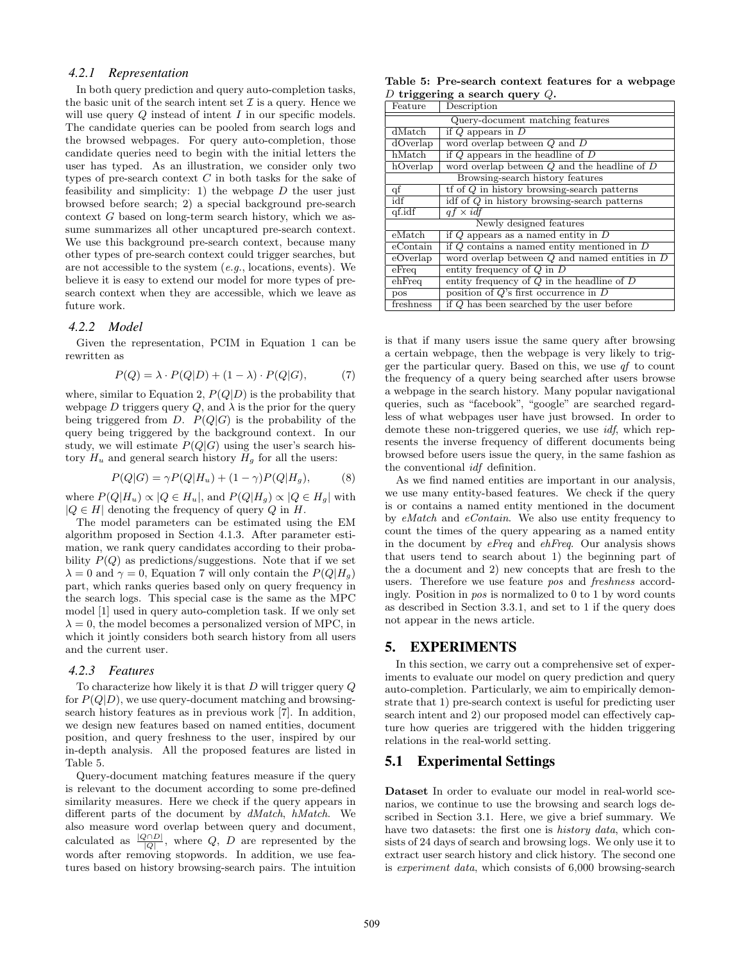#### *4.2.1 Representation*

In both query prediction and query auto-completion tasks, the basic unit of the search intent set  $\mathcal I$  is a query. Hence we will use query *Q* instead of intent *I* in our specific models. The candidate queries can be pooled from search logs and the browsed webpages. For query auto-completion, those candidate queries need to begin with the initial letters the user has typed. As an illustration, we consider only two types of pre-search context *C* in both tasks for the sake of feasibility and simplicity: 1) the webpage *D* the user just browsed before search; 2) a special background pre-search context *G* based on long-term search history, which we assume summarizes all other uncaptured pre-search context. We use this background pre-search context, because many other types of pre-search context could trigger searches, but are not accessible to the system (*e.g.*, locations, events). We believe it is easy to extend our model for more types of presearch context when they are accessible, which we leave as future work.

#### *4.2.2 Model*

Given the representation, PCIM in Equation 1 can be rewritten as

$$
P(Q) = \lambda \cdot P(Q|D) + (1 - \lambda) \cdot P(Q|G), \tag{7}
$$

where, similar to Equation 2,  $P(Q|D)$  is the probability that webpage  $D$  triggers query  $Q$ , and  $\lambda$  is the prior for the query being triggered from *D*.  $P(Q|G)$  is the probability of the query being triggered by the background context. In our study, we will estimate  $P(Q|G)$  using the user's search history  $H_u$  and general search history  $H_g$  for all the users:

$$
P(Q|G) = \gamma P(Q|H_u) + (1 - \gamma)P(Q|H_g),\tag{8}
$$

where  $P(Q|H_u) \propto |Q \in H_u|$ , and  $P(Q|H_u) \propto |Q \in H_u|$  with  $|Q ∈ H|$  denoting the frequency of query  $Q$  in  $H$ .

The model parameters can be estimated using the EM algorithm proposed in Section 4.1.3. After parameter estimation, we rank query candidates according to their probability  $P(Q)$  as predictions/suggestions. Note that if we set  $\lambda = 0$  and  $\gamma = 0$ , Equation 7 will only contain the  $P(Q|H_q)$ part, which ranks queries based only on query frequency in the search logs. This special case is the same as the MPC model [1] used in query auto-completion task. If we only set  $\lambda = 0$ , the model becomes a personalized version of MPC, in which it jointly considers both search history from all users and the current user.

#### *4.2.3 Features*

To characterize how likely it is that *D* will trigger query *Q* for  $P(Q|D)$ , we use query-document matching and browsingsearch history features as in previous work [7]. In addition, we design new features based on named entities, document position, and query freshness to the user, inspired by our in-depth analysis. All the proposed features are listed in Table 5.

Query-document matching features measure if the query is relevant to the document according to some pre-defined similarity measures. Here we check if the query appears in different parts of the document by *dMatch*, *hMatch*. We also measure word overlap between query and document, calculated as  $\frac{|Q \cap D|}{|Q|}$ , where *Q*, *D* are represented by the words after removing stopwords. In addition, we use features based on history browsing-search pairs. The intuition

**Table 5: Pre-search context features for a webpage** *D* **triggering a search query** *Q***.**

| Feature                 | Description                                                  |  |  |  |  |
|-------------------------|--------------------------------------------------------------|--|--|--|--|
|                         | Query-document matching features                             |  |  |  |  |
| dMatch                  | if $Q$ appears in $D$                                        |  |  |  |  |
| dOverlap                | word overlap between $Q$ and $D$                             |  |  |  |  |
| hMatch                  | if $Q$ appears in the headline of $D$                        |  |  |  |  |
| hOverlap                | word overlap between $Q$ and the headline of $D$             |  |  |  |  |
|                         | Browsing-search history features                             |  |  |  |  |
| qf                      | $\mathop{\rm tf}$ of $Q$ in history browsing-search patterns |  |  |  |  |
| idf                     | idf of Q in history browsing-search patterns                 |  |  |  |  |
| qf.idf                  | $af \times idf$                                              |  |  |  |  |
| Newly designed features |                                                              |  |  |  |  |
| eMatch                  | if $Q$ appears as a named entity in $D$                      |  |  |  |  |
| eContain                | if $Q$ contains a named entity mentioned in $D$              |  |  |  |  |
| eOverlap                | word overlap between $Q$ and named entities in $D$           |  |  |  |  |
| $e$ Freq                | entity frequency of $Q$ in $D$                               |  |  |  |  |
| $e$ hFreq               | entity frequency of $Q$ in the headline of $D$               |  |  |  |  |
| pos                     | position of $Q$ 's first occurrence in $D$                   |  |  |  |  |
| freshness               | if $Q$ has been searched by the user before                  |  |  |  |  |

is that if many users issue the same query after browsing a certain webpage, then the webpage is very likely to trigger the particular query. Based on this, we use *qf* to count the frequency of a query being searched after users browse a webpage in the search history. Many popular navigational queries, such as "facebook", "google" are searched regardless of what webpages user have just browsed. In order to demote these non-triggered queries, we use *idf*, which represents the inverse frequency of different documents being browsed before users issue the query, in the same fashion as the conventional *idf* definition.

As we find named entities are important in our analysis, we use many entity-based features. We check if the query is or contains a named entity mentioned in the document by *eMatch* and *eContain*. We also use entity frequency to count the times of the query appearing as a named entity in the document by *eFreq* and *ehFreq*. Our analysis shows that users tend to search about 1) the beginning part of the a document and 2) new concepts that are fresh to the users. Therefore we use feature *pos* and *freshness* accordingly. Position in *pos* is normalized to 0 to 1 by word counts as described in Section 3.3.1, and set to 1 if the query does not appear in the news article.

## 5. EXPERIMENTS

In this section, we carry out a comprehensive set of experiments to evaluate our model on query prediction and query auto-completion. Particularly, we aim to empirically demonstrate that 1) pre-search context is useful for predicting user search intent and 2) our proposed model can effectively capture how queries are triggered with the hidden triggering relations in the real-world setting.

## 5.1 Experimental Settings

**Dataset** In order to evaluate our model in real-world scenarios, we continue to use the browsing and search logs described in Section 3.1. Here, we give a brief summary. We have two datasets: the first one is *history data*, which consists of 24 days of search and browsing logs. We only use it to extract user search history and click history. The second one is *experiment data*, which consists of 6,000 browsing-search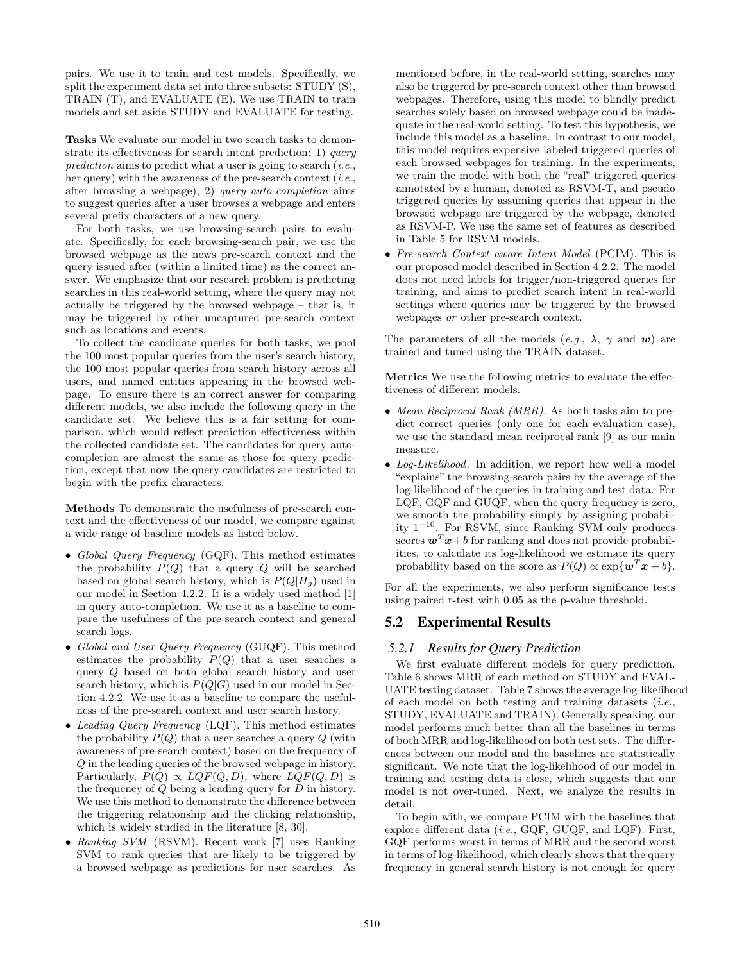pairs. We use it to train and test models. Specifically, we split the experiment data set into three subsets: STUDY (S), TRAIN (T), and EVALUATE (E). We use TRAIN to train models and set aside STUDY and EVALUATE for testing.

**Tasks** We evaluate our model in two search tasks to demonstrate its effectiveness for search intent prediction: 1) *query prediction* aims to predict what a user is going to search (*i.e.*, her query) with the awareness of the pre-search context (*i.e.*, after browsing a webpage); 2) *query auto-completion* aims to suggest queries after a user browses a webpage and enters several prefix characters of a new query.

For both tasks, we use browsing-search pairs to evaluate. Specifically, for each browsing-search pair, we use the browsed webpage as the news pre-search context and the query issued after (within a limited time) as the correct answer. We emphasize that our research problem is predicting searches in this real-world setting, where the query may not actually be triggered by the browsed webpage – that is, it may be triggered by other uncaptured pre-search context such as locations and events.

To collect the candidate queries for both tasks, we pool the 100 most popular queries from the user's search history, the 100 most popular queries from search history across all users, and named entities appearing in the browsed webpage. To ensure there is an correct answer for comparing different models, we also include the following query in the candidate set. We believe this is a fair setting for comparison, which would reflect prediction effectiveness within the collected candidate set. The candidates for query autocompletion are almost the same as those for query prediction, except that now the query candidates are restricted to begin with the prefix characters.

**Methods** To demonstrate the usefulness of pre-search context and the effectiveness of our model, we compare against a wide range of baseline models as listed below.

- *• Global Query Frequency* (GQF). This method estimates the probability  $P(Q)$  that a query  $Q$  will be searched based on global search history, which is  $P(Q|H_g)$  used in our model in Section 4.2.2. It is a widely used method [1] in query auto-completion. We use it as a baseline to compare the usefulness of the pre-search context and general search logs.
- *• Global and User Query Frequency* (GUQF). This method estimates the probability  $P(Q)$  that a user searches a query *Q* based on both global search history and user search history, which is *P*(*Q|G*) used in our model in Section 4.2.2. We use it as a baseline to compare the usefulness of the pre-search context and user search history.
- *• Leading Query Frequency* (LQF). This method estimates the probability  $P(Q)$  that a user searches a query  $Q$  (with awareness of pre-search context) based on the frequency of *Q* in the leading queries of the browsed webpage in history. Particularly,  $P(Q) \propto LQF(Q, D)$ , where  $LQF(Q, D)$  is the frequency of *Q* being a leading query for *D* in history. We use this method to demonstrate the difference between the triggering relationship and the clicking relationship, which is widely studied in the literature [8, 30].
- *• Ranking SVM* (RSVM). Recent work [7] uses Ranking SVM to rank queries that are likely to be triggered by a browsed webpage as predictions for user searches. As

mentioned before, in the real-world setting, searches may also be triggered by pre-search context other than browsed webpages. Therefore, using this model to blindly predict searches solely based on browsed webpage could be inadequate in the real-world setting. To test this hypothesis, we include this model as a baseline. In contrast to our model, this model requires expensive labeled triggered queries of each browsed webpages for training. In the experiments, we train the model with both the "real" triggered queries annotated by a human, denoted as RSVM-T, and pseudo triggered queries by assuming queries that appear in the browsed webpage are triggered by the webpage, denoted as RSVM-P. We use the same set of features as described in Table 5 for RSVM models.

*• Pre-search Context aware Intent Model* (PCIM). This is our proposed model described in Section 4.2.2. The model does not need labels for trigger/non-triggered queries for training, and aims to predict search intent in real-world settings where queries may be triggered by the browsed webpages *or* other pre-search context.

The parameters of all the models  $(e.g., \lambda, \gamma \text{ and } w)$  are trained and tuned using the TRAIN dataset.

**Metrics** We use the following metrics to evaluate the effectiveness of different models.

- *• Mean Reciprocal Rank (MRR)*. As both tasks aim to predict correct queries (only one for each evaluation case), we use the standard mean reciprocal rank [9] as our main measure.
- *• Log-Likelihood*. In addition, we report how well a model "explains" the browsing-search pairs by the average of the log-likelihood of the queries in training and test data. For LQF, GQF and GUQF, when the query frequency is zero, we smooth the probability simply by assigning probability 1*−*<sup>10</sup>. For RSVM, since Ranking SVM only produces scores  $\mathbf{w}^T \mathbf{x} + b$  for ranking and does not provide probabilities, to calculate its log-likelihood we estimate its query probability based on the score as  $P(Q) \propto \exp\{w^T x + b\}.$

For all the experiments, we also perform significance tests using paired t-test with 0.05 as the p-value threshold.

## 5.2 Experimental Results

#### *5.2.1 Results for Query Prediction*

We first evaluate different models for query prediction. Table 6 shows MRR of each method on STUDY and EVAL-UATE testing dataset. Table 7 shows the average log-likelihood of each model on both testing and training datasets (*i.e.*, STUDY, EVALUATE and TRAIN). Generally speaking, our model performs much better than all the baselines in terms of both MRR and log-likelihood on both test sets. The differences between our model and the baselines are statistically significant. We note that the log-likelihood of our model in training and testing data is close, which suggests that our model is not over-tuned. Next, we analyze the results in detail.

To begin with, we compare PCIM with the baselines that explore different data (*i.e.*, GQF, GUQF, and LQF). First, GQF performs worst in terms of MRR and the second worst in terms of log-likelihood, which clearly shows that the query frequency in general search history is not enough for query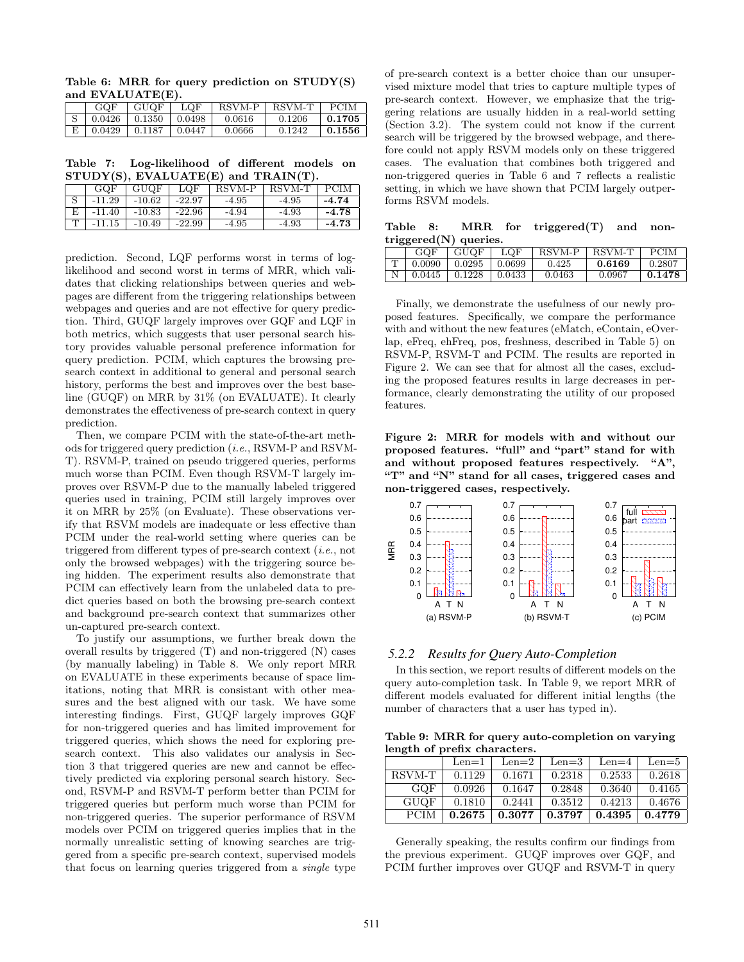**Table 6: MRR for query prediction on STUDY(S) and EVALUATE(E).**

| GQF    | GUQF              | LOF    | RSVM-P | RSVM-T | PCIM   |
|--------|-------------------|--------|--------|--------|--------|
|        | $0.0426$   0.1350 | 0.0498 | 0.0616 | 0.1206 | 0.1705 |
| 0.0429 | $\perp$ 0.1187    | 0.0447 | 0.0666 | 0.1242 | 0.1556 |

**Table 7: Log-likelihood of different models on STUDY(S), EVALUATE(E) and TRAIN(T).**

|   | GOF      | GUQF     | LQF      | RSVM-P  | RSVM-T  | <b>PCIM</b> |
|---|----------|----------|----------|---------|---------|-------------|
|   | $-11.29$ | $-10.62$ | $-22.97$ | $-4.95$ | $-4.95$ | $-4.74$     |
| E | $-11.40$ | $-10.83$ | $-22.96$ | $-4.94$ | $-4.93$ | $-4.78$     |
|   | $-11.15$ | $-10.49$ | -22.99   | -4.95   | -4.93   | $-4.73$     |

prediction. Second, LQF performs worst in terms of loglikelihood and second worst in terms of MRR, which validates that clicking relationships between queries and webpages are different from the triggering relationships between webpages and queries and are not effective for query prediction. Third, GUQF largely improves over GQF and LQF in both metrics, which suggests that user personal search history provides valuable personal preference information for query prediction. PCIM, which captures the browsing presearch context in additional to general and personal search history, performs the best and improves over the best baseline (GUQF) on MRR by 31% (on EVALUATE). It clearly demonstrates the effectiveness of pre-search context in query prediction.

Then, we compare PCIM with the state-of-the-art methods for triggered query prediction (*i.e.*, RSVM-P and RSVM-T). RSVM-P, trained on pseudo triggered queries, performs much worse than PCIM. Even though RSVM-T largely improves over RSVM-P due to the manually labeled triggered queries used in training, PCIM still largely improves over it on MRR by 25% (on Evaluate). These observations verify that RSVM models are inadequate or less effective than PCIM under the real-world setting where queries can be triggered from different types of pre-search context (*i.e.*, not only the browsed webpages) with the triggering source being hidden. The experiment results also demonstrate that PCIM can effectively learn from the unlabeled data to predict queries based on both the browsing pre-search context and background pre-search context that summarizes other un-captured pre-search context.

To justify our assumptions, we further break down the overall results by triggered (T) and non-triggered (N) cases (by manually labeling) in Table 8. We only report MRR on EVALUATE in these experiments because of space limitations, noting that MRR is consistant with other measures and the best aligned with our task. We have some interesting findings. First, GUQF largely improves GQF for non-triggered queries and has limited improvement for triggered queries, which shows the need for exploring presearch context. This also validates our analysis in Section 3 that triggered queries are new and cannot be effectively predicted via exploring personal search history. Second, RSVM-P and RSVM-T perform better than PCIM for triggered queries but perform much worse than PCIM for non-triggered queries. The superior performance of RSVM models over PCIM on triggered queries implies that in the normally unrealistic setting of knowing searches are triggered from a specific pre-search context, supervised models that focus on learning queries triggered from a *single* type of pre-search context is a better choice than our unsupervised mixture model that tries to capture multiple types of pre-search context. However, we emphasize that the triggering relations are usually hidden in a real-world setting (Section 3.2). The system could not know if the current search will be triggered by the browsed webpage, and therefore could not apply RSVM models only on these triggered cases. The evaluation that combines both triggered and non-triggered queries in Table 6 and 7 reflects a realistic setting, in which we have shown that PCIM largely outperforms RSVM models.

**Table 8: MRR for triggered(T) and nontriggered(N) queries.**

| GOF    | GUQF   | LOF    | RSVM-P | RSVM-T | <b>PCIM</b> |
|--------|--------|--------|--------|--------|-------------|
| 0.0090 | 0.0295 | 0.0699 | 0.425  | 0.6169 | 0.2807      |
| 0.0445 | 0.1228 | 0.0433 | 0.0463 | 0.0967 | 0.1478      |

Finally, we demonstrate the usefulness of our newly proposed features. Specifically, we compare the performance with and without the new features (eMatch, eContain, eOverlap, eFreq, ehFreq, pos, freshness, described in Table 5) on RSVM-P, RSVM-T and PCIM. The results are reported in Figure 2. We can see that for almost all the cases, excluding the proposed features results in large decreases in performance, clearly demonstrating the utility of our proposed features.

**Figure 2: MRR for models with and without our proposed features. "full" and "part" stand for with and without proposed features respectively. "A", "T" and "N" stand for all cases, triggered cases and non-triggered cases, respectively.**



#### *5.2.2 Results for Query Auto-Completion*

In this section, we report results of different models on the query auto-completion task. In Table 9, we report MRR of different models evaluated for different initial lengths (the number of characters that a user has typed in).

**Table 9: MRR for query auto-completion on varying length of prefix characters.**

|             | Len=1  | Len $=$ 2 | Len $=$ 3 | Len $=4$ | Len=5  |
|-------------|--------|-----------|-----------|----------|--------|
| RSVM-T      | 0.1129 | 0.1671    | 0.2318    | 0.2533   | 0.2618 |
| GOF         | 0.0926 | 0.1647    | 0.2848    | 0.3640   | 0.4165 |
| <b>GUQF</b> | 0.1810 | 0.2441    | 0.3512    | 0.4213   | 0.4676 |
| <b>PCIM</b> | 0.2675 | 0.3077    | 0.3797    | 0.4395   | 0.4779 |

Generally speaking, the results confirm our findings from the previous experiment. GUQF improves over GQF, and PCIM further improves over GUQF and RSVM-T in query